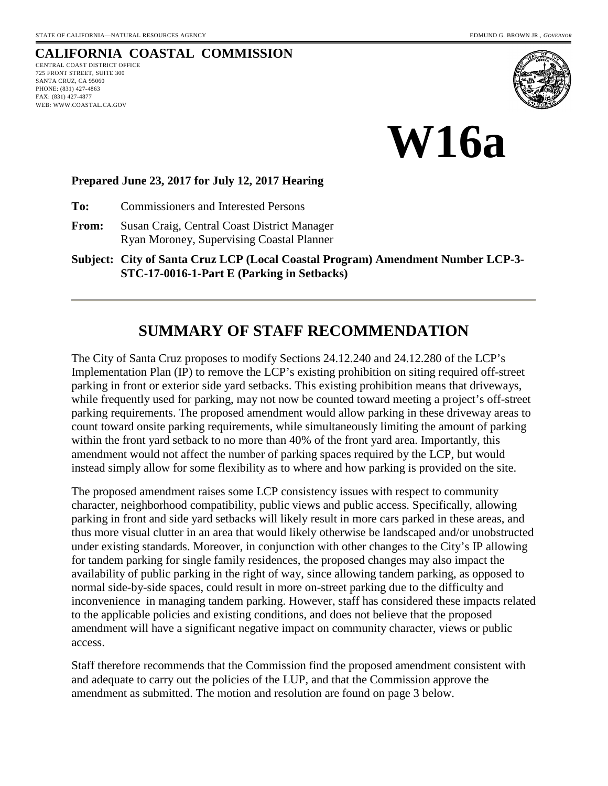## **CALIFORNIA COASTAL COMMISSION**

CENTRAL COAST DISTRICT OFFICE 725 FRONT STREET, SUITE 300 SANTA CRUZ, CA 95060 PHONE: (831) 427-4863 FAX: (831) 427-4877 WEB: WWW.COASTAL.CA.GOV





#### **Prepared June 23, 2017 for July 12, 2017 Hearing**

**To:** Commissioners and Interested Persons

**From:** Susan Craig, Central Coast District Manager Ryan Moroney, Supervising Coastal Planner

**Subject: City of Santa Cruz LCP (Local Coastal Program) Amendment Number LCP-3- STC-17-0016-1-Part E (Parking in Setbacks)**

## **SUMMARY OF STAFF RECOMMENDATION**

The City of Santa Cruz proposes to modify Sections 24.12.240 and 24.12.280 of the LCP's Implementation Plan (IP) to remove the LCP's existing prohibition on siting required off-street parking in front or exterior side yard setbacks. This existing prohibition means that driveways, while frequently used for parking, may not now be counted toward meeting a project's off-street parking requirements. The proposed amendment would allow parking in these driveway areas to count toward onsite parking requirements, while simultaneously limiting the amount of parking within the front yard setback to no more than 40% of the front yard area. Importantly, this amendment would not affect the number of parking spaces required by the LCP, but would instead simply allow for some flexibility as to where and how parking is provided on the site.

The proposed amendment raises some LCP consistency issues with respect to community character, neighborhood compatibility, public views and public access. Specifically, allowing parking in front and side yard setbacks will likely result in more cars parked in these areas, and thus more visual clutter in an area that would likely otherwise be landscaped and/or unobstructed under existing standards. Moreover, in conjunction with other changes to the City's IP allowing for tandem parking for single family residences, the proposed changes may also impact the availability of public parking in the right of way, since allowing tandem parking, as opposed to normal side-by-side spaces, could result in more on-street parking due to the difficulty and inconvenience in managing tandem parking. However, staff has considered these impacts related to the applicable policies and existing conditions, and does not believe that the proposed amendment will have a significant negative impact on community character, views or public access.

Staff therefore recommends that the Commission find the proposed amendment consistent with and adequate to carry out the policies of the LUP, and that the Commission approve the amendment as submitted. The motion and resolution are found on page 3 below.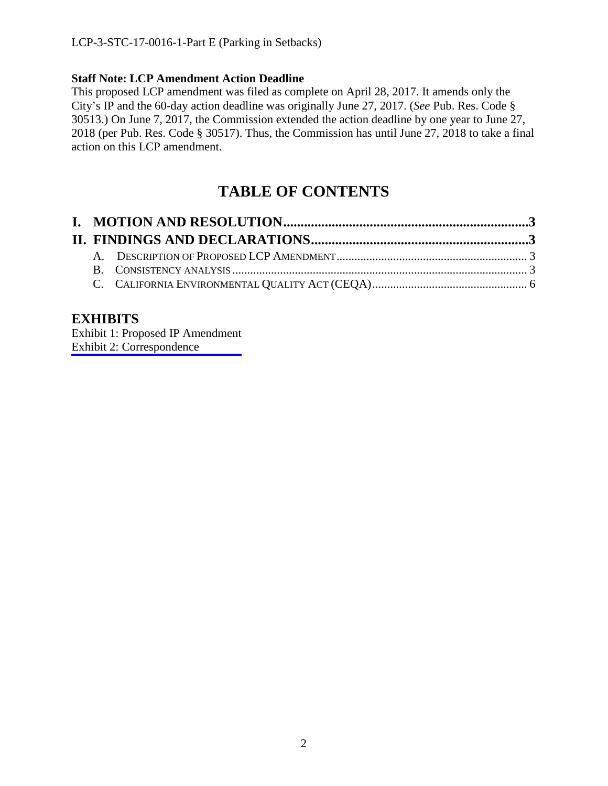### **Staff Note: LCP Amendment Action Deadline**

This proposed LCP amendment was filed as complete on April 28, 2017. It amends only the City's IP and the 60-day action deadline was originally June 27, 2017. (*See* Pub. Res. Code § 30513.) On June 7, 2017, the Commission extended the action deadline by one year to June 27, 2018 (per Pub. Res. Code § 30517). Thus, the Commission has until June 27, 2018 to take a final action on this LCP amendment.

# **TABLE OF CONTENTS**

### **EXHIBITS**

[Exhibit 1: Proposed IP Amendment](https://documents.coastal.ca.gov/reports/2017/7/W16a/W16a-7-2017-exhibits.pdf) Exhibit 2: Correspondence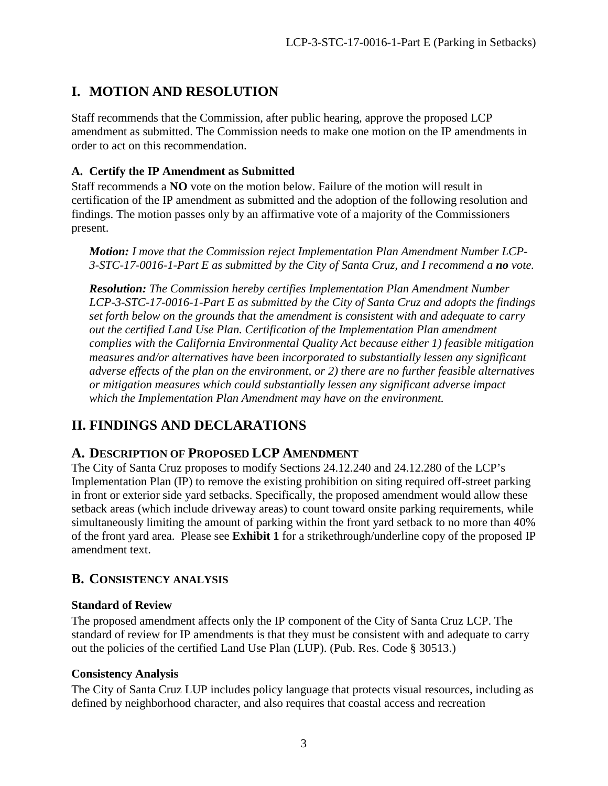# <span id="page-2-0"></span>**I. MOTION AND RESOLUTION**

Staff recommends that the Commission, after public hearing, approve the proposed LCP amendment as submitted. The Commission needs to make one motion on the IP amendments in order to act on this recommendation.

### **A. Certify the IP Amendment as Submitted**

Staff recommends a **NO** vote on the motion below. Failure of the motion will result in certification of the IP amendment as submitted and the adoption of the following resolution and findings. The motion passes only by an affirmative vote of a majority of the Commissioners present.

*Motion: I move that the Commission reject Implementation Plan Amendment Number LCP-3-STC-17-0016-1-Part E as submitted by the City of Santa Cruz, and I recommend a no vote.*

*Resolution: The Commission hereby certifies Implementation Plan Amendment Number LCP-3-STC-17-0016-1-Part E as submitted by the City of Santa Cruz and adopts the findings set forth below on the grounds that the amendment is consistent with and adequate to carry out the certified Land Use Plan. Certification of the Implementation Plan amendment complies with the California Environmental Quality Act because either 1) feasible mitigation measures and/or alternatives have been incorporated to substantially lessen any significant adverse effects of the plan on the environment, or 2) there are no further feasible alternatives or mitigation measures which could substantially lessen any significant adverse impact which the Implementation Plan Amendment may have on the environment.* 

### <span id="page-2-1"></span>**II. FINDINGS AND DECLARATIONS**

### <span id="page-2-2"></span>**A. DESCRIPTION OF PROPOSED LCP AMENDMENT**

The City of Santa Cruz proposes to modify Sections 24.12.240 and 24.12.280 of the LCP's Implementation Plan (IP) to remove the existing prohibition on siting required off-street parking in front or exterior side yard setbacks. Specifically, the proposed amendment would allow these setback areas (which include driveway areas) to count toward onsite parking requirements, while simultaneously limiting the amount of parking within the front yard setback to no more than 40% of the front yard area. Please see **Exhibit 1** for a strikethrough/underline copy of the proposed IP amendment text.

### <span id="page-2-3"></span>**B. CONSISTENCY ANALYSIS**

#### **Standard of Review**

The proposed amendment affects only the IP component of the City of Santa Cruz LCP. The standard of review for IP amendments is that they must be consistent with and adequate to carry out the policies of the certified Land Use Plan (LUP). (Pub. Res. Code § 30513.)

#### **Consistency Analysis**

The City of Santa Cruz LUP includes policy language that protects visual resources, including as defined by neighborhood character, and also requires that coastal access and recreation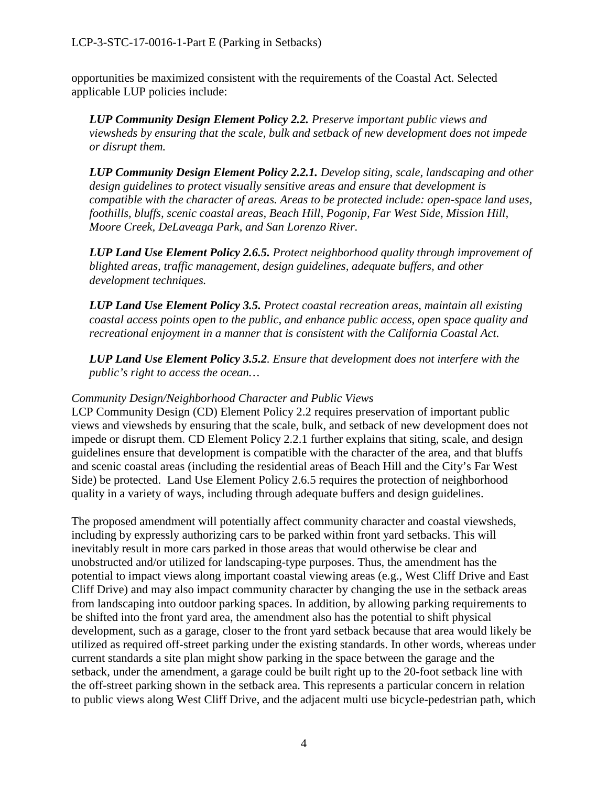opportunities be maximized consistent with the requirements of the Coastal Act. Selected applicable LUP policies include:

*LUP Community Design Element Policy 2.2. Preserve important public views and viewsheds by ensuring that the scale, bulk and setback of new development does not impede or disrupt them.* 

*LUP Community Design Element Policy 2.2.1. Develop siting, scale, landscaping and other design guidelines to protect visually sensitive areas and ensure that development is compatible with the character of areas. Areas to be protected include: open-space land uses, foothills, bluffs, scenic coastal areas, Beach Hill, Pogonip, Far West Side, Mission Hill, Moore Creek, DeLaveaga Park, and San Lorenzo River.* 

*LUP Land Use Element Policy 2.6.5. Protect neighborhood quality through improvement of blighted areas, traffic management, design guidelines, adequate buffers, and other development techniques.* 

*LUP Land Use Element Policy 3.5. Protect coastal recreation areas, maintain all existing coastal access points open to the public, and enhance public access, open space quality and recreational enjoyment in a manner that is consistent with the California Coastal Act.* 

*LUP Land Use Element Policy 3.5.2. Ensure that development does not interfere with the public's right to access the ocean…* 

#### *Community Design/Neighborhood Character and Public Views*

LCP Community Design (CD) Element Policy 2.2 requires preservation of important public views and viewsheds by ensuring that the scale, bulk, and setback of new development does not impede or disrupt them. CD Element Policy 2.2.1 further explains that siting, scale, and design guidelines ensure that development is compatible with the character of the area, and that bluffs and scenic coastal areas (including the residential areas of Beach Hill and the City's Far West Side) be protected. Land Use Element Policy 2.6.5 requires the protection of neighborhood quality in a variety of ways, including through adequate buffers and design guidelines.

The proposed amendment will potentially affect community character and coastal viewsheds, including by expressly authorizing cars to be parked within front yard setbacks. This will inevitably result in more cars parked in those areas that would otherwise be clear and unobstructed and/or utilized for landscaping-type purposes. Thus, the amendment has the potential to impact views along important coastal viewing areas (e.g., West Cliff Drive and East Cliff Drive) and may also impact community character by changing the use in the setback areas from landscaping into outdoor parking spaces. In addition, by allowing parking requirements to be shifted into the front yard area, the amendment also has the potential to shift physical development, such as a garage, closer to the front yard setback because that area would likely be utilized as required off-street parking under the existing standards. In other words, whereas under current standards a site plan might show parking in the space between the garage and the setback, under the amendment, a garage could be built right up to the 20-foot setback line with the off-street parking shown in the setback area. This represents a particular concern in relation to public views along West Cliff Drive, and the adjacent multi use bicycle-pedestrian path, which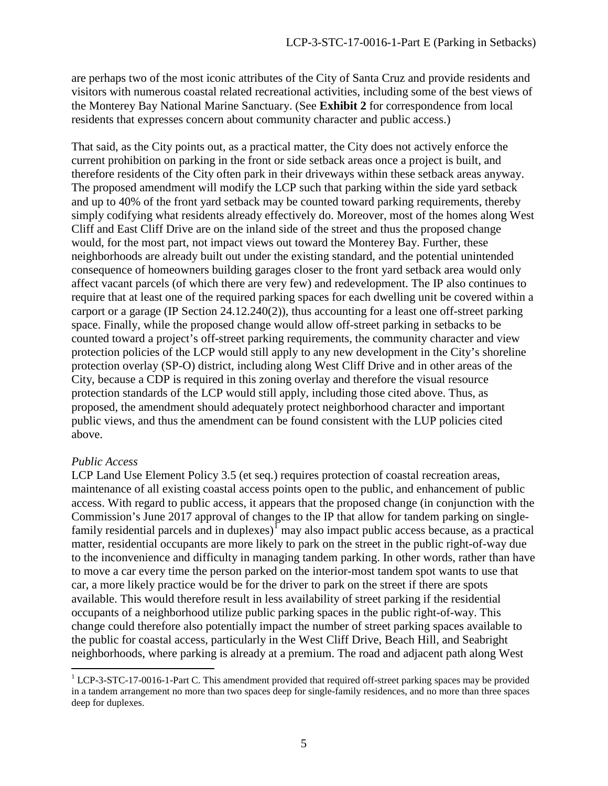are perhaps two of the most iconic attributes of the City of Santa Cruz and provide residents and visitors with numerous coastal related recreational activities, including some of the best views of the Monterey Bay National Marine Sanctuary. (See **Exhibit 2** for correspondence from local residents that expresses concern about community character and public access.)

That said, as the City points out, as a practical matter, the City does not actively enforce the current prohibition on parking in the front or side setback areas once a project is built, and therefore residents of the City often park in their driveways within these setback areas anyway. The proposed amendment will modify the LCP such that parking within the side yard setback and up to 40% of the front yard setback may be counted toward parking requirements, thereby simply codifying what residents already effectively do. Moreover, most of the homes along West Cliff and East Cliff Drive are on the inland side of the street and thus the proposed change would, for the most part, not impact views out toward the Monterey Bay. Further, these neighborhoods are already built out under the existing standard, and the potential unintended consequence of homeowners building garages closer to the front yard setback area would only affect vacant parcels (of which there are very few) and redevelopment. The IP also continues to require that at least one of the required parking spaces for each dwelling unit be covered within a carport or a garage (IP Section 24.12.240(2)), thus accounting for a least one off-street parking space. Finally, while the proposed change would allow off-street parking in setbacks to be counted toward a project's off-street parking requirements, the community character and view protection policies of the LCP would still apply to any new development in the City's shoreline protection overlay (SP-O) district, including along West Cliff Drive and in other areas of the City, because a CDP is required in this zoning overlay and therefore the visual resource protection standards of the LCP would still apply, including those cited above. Thus, as proposed, the amendment should adequately protect neighborhood character and important public views, and thus the amendment can be found consistent with the LUP policies cited above.

#### *Public Access*

LCP Land Use Element Policy 3.5 (et seq.) requires protection of coastal recreation areas, maintenance of all existing coastal access points open to the public, and enhancement of public access. With regard to public access, it appears that the proposed change (in conjunction with the Commission's June 2017 approval of changes to the IP that allow for tandem parking on singlefamily residential parcels and in duplexes) $\overline{1}$  $\overline{1}$  $\overline{1}$  may also impact public access because, as a practical matter, residential occupants are more likely to park on the street in the public right-of-way due to the inconvenience and difficulty in managing tandem parking. In other words, rather than have to move a car every time the person parked on the interior-most tandem spot wants to use that car, a more likely practice would be for the driver to park on the street if there are spots available. This would therefore result in less availability of street parking if the residential occupants of a neighborhood utilize public parking spaces in the public right-of-way. This change could therefore also potentially impact the number of street parking spaces available to the public for coastal access, particularly in the West Cliff Drive, Beach Hill, and Seabright neighborhoods, where parking is already at a premium. The road and adjacent path along West

<span id="page-4-0"></span> $\overline{a}$ <sup>1</sup> LCP-3-STC-17-0016-1-Part C. This amendment provided that required off-street parking spaces may be provided in a tandem arrangement no more than two spaces deep for single-family residences, and no more than three spaces deep for duplexes.